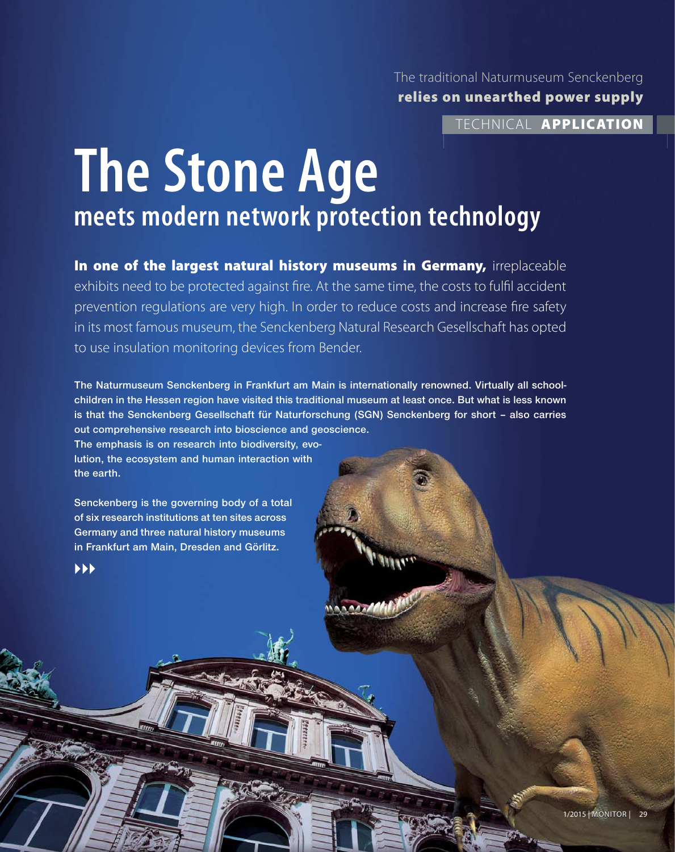The traditional Naturmuseum Senckenberg **relies on unearthed power supply**

TECHNICAL **APPLICATION**

# **The Stone Age meets modern network protection technology**

**In one of the largest natural history museums in Germany,** irreplaceable exhibits need to be protected against fire. At the same time, the costs to fulfil accident prevention regulations are very high. In order to reduce costs and increase fire safety in its most famous museum, the Senckenberg Natural Research Gesellschaft has opted to use insulation monitoring devices from Bender.

**The Naturmuseum Senckenberg in Frankfurt am Main is internationally renowned. Virtually all schoolchildren in the Hessen region have visited this traditional museum at least once. But what is less known is that the Senckenberg Gesellschaft für Naturforschung (SGN) Senckenberg for short – also carries out comprehensive research into bioscience and geoscience.** 

**The emphasis is on research into biodiversity, evolution, the ecosystem and human interaction with the earth.** 

**Senckenberg is the governing body of a total of six research institutions at ten sites across Germany and three natural history museums in Frankfurt am Main, Dresden and Görlitz.**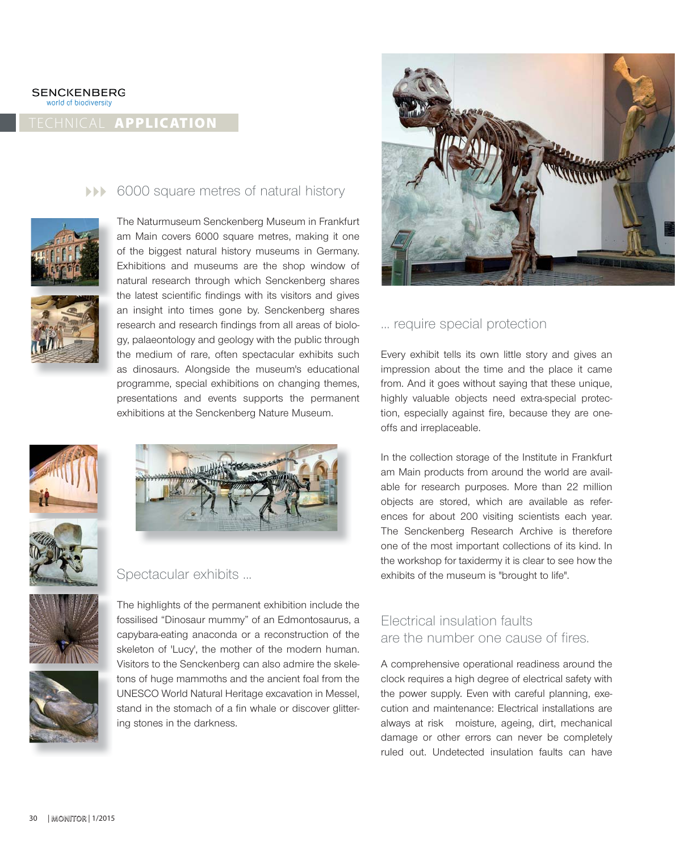world of biodiversity

# TECHNICAL **APPLICATION**

### **10000 Square metres of natural history**











# Spectacular exhibits ...





The highlights of the permanent exhibition include the fossilised "Dinosaur mummy" of an Edmontosaurus, a capybara-eating anaconda or a reconstruction of the skeleton of 'Lucy', the mother of the modern human. Visitors to the Senckenberg can also admire the skeletons of huge mammoths and the ancient foal from the UNESCO World Natural Heritage excavation in Messel, stand in the stomach of a fin whale or discover glittering stones in the darkness.



# ... require special protection

Every exhibit tells its own little story and gives an impression about the time and the place it came from. And it goes without saying that these unique, highly valuable objects need extra-special protection, especially against fire, because they are oneoffs and irreplaceable.

In the collection storage of the Institute in Frankfurt am Main products from around the world are available for research purposes. More than 22 million objects are stored, which are available as references for about 200 visiting scientists each year. The Senckenberg Research Archive is therefore one of the most important collections of its kind. In the workshop for taxidermy it is clear to see how the exhibits of the museum is "brought to life".

# Electrical insulation faults are the number one cause of fires.

A comprehensive operational readiness around the clock requires a high degree of electrical safety with the power supply. Even with careful planning, execution and maintenance: Electrical installations are always at risk moisture, ageing, dirt, mechanical damage or other errors can never be completely ruled out. Undetected insulation faults can have